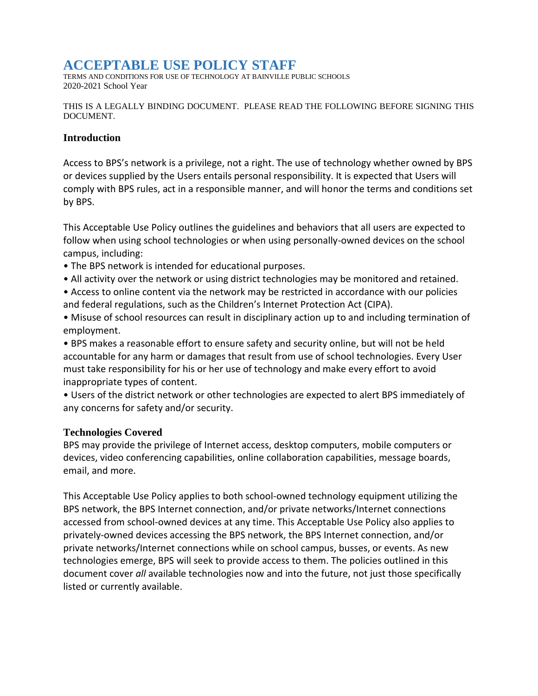# **ACCEPTABLE USE POLICY STAFF**

TERMS AND CONDITIONS FOR USE OF TECHNOLOGY AT BAINVILLE PUBLIC SCHOOLS 2020-2021 School Year

THIS IS A LEGALLY BINDING DOCUMENT. PLEASE READ THE FOLLOWING BEFORE SIGNING THIS DOCUMENT.

#### **Introduction**

Access to BPS's network is a privilege, not a right. The use of technology whether owned by BPS or devices supplied by the Users entails personal responsibility. It is expected that Users will comply with BPS rules, act in a responsible manner, and will honor the terms and conditions set by BPS.

This Acceptable Use Policy outlines the guidelines and behaviors that all users are expected to follow when using school technologies or when using personally-owned devices on the school campus, including:

- The BPS network is intended for educational purposes.
- All activity over the network or using district technologies may be monitored and retained.
- Access to online content via the network may be restricted in accordance with our policies and federal regulations, such as the Children's Internet Protection Act (CIPA).
- Misuse of school resources can result in disciplinary action up to and including termination of employment.

• BPS makes a reasonable effort to ensure safety and security online, but will not be held accountable for any harm or damages that result from use of school technologies. Every User must take responsibility for his or her use of technology and make every effort to avoid inappropriate types of content.

• Users of the district network or other technologies are expected to alert BPS immediately of any concerns for safety and/or security.

#### **Technologies Covered**

BPS may provide the privilege of Internet access, desktop computers, mobile computers or devices, video conferencing capabilities, online collaboration capabilities, message boards, email, and more.

This Acceptable Use Policy applies to both school-owned technology equipment utilizing the BPS network, the BPS Internet connection, and/or private networks/Internet connections accessed from school-owned devices at any time. This Acceptable Use Policy also applies to privately-owned devices accessing the BPS network, the BPS Internet connection, and/or private networks/Internet connections while on school campus, busses, or events. As new technologies emerge, BPS will seek to provide access to them. The policies outlined in this document cover *all* available technologies now and into the future, not just those specifically listed or currently available.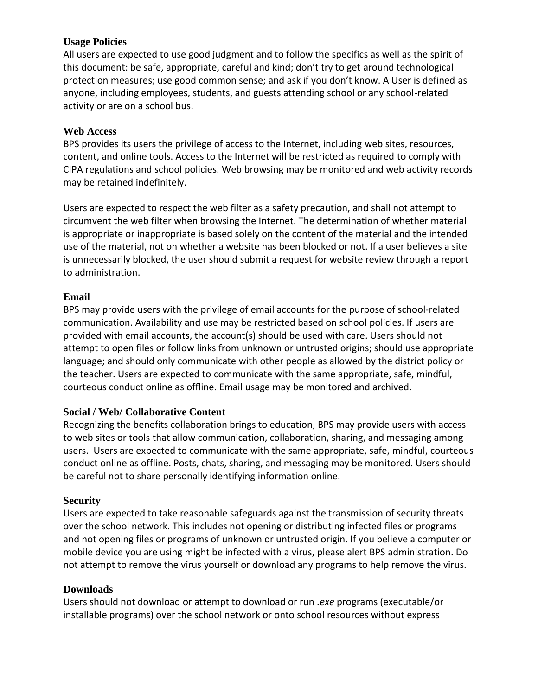# **Usage Policies**

All users are expected to use good judgment and to follow the specifics as well as the spirit of this document: be safe, appropriate, careful and kind; don't try to get around technological protection measures; use good common sense; and ask if you don't know. A User is defined as anyone, including employees, students, and guests attending school or any school-related activity or are on a school bus.

#### **Web Access**

BPS provides its users the privilege of access to the Internet, including web sites, resources, content, and online tools. Access to the Internet will be restricted as required to comply with CIPA regulations and school policies. Web browsing may be monitored and web activity records may be retained indefinitely.

Users are expected to respect the web filter as a safety precaution, and shall not attempt to circumvent the web filter when browsing the Internet. The determination of whether material is appropriate or inappropriate is based solely on the content of the material and the intended use of the material, not on whether a website has been blocked or not. If a user believes a site is unnecessarily blocked, the user should submit a request for website review through a report to administration.

## **Email**

BPS may provide users with the privilege of email accounts for the purpose of school-related communication. Availability and use may be restricted based on school policies. If users are provided with email accounts, the account(s) should be used with care. Users should not attempt to open files or follow links from unknown or untrusted origins; should use appropriate language; and should only communicate with other people as allowed by the district policy or the teacher. Users are expected to communicate with the same appropriate, safe, mindful, courteous conduct online as offline. Email usage may be monitored and archived.

#### **Social / Web/ Collaborative Content**

Recognizing the benefits collaboration brings to education, BPS may provide users with access to web sites or tools that allow communication, collaboration, sharing, and messaging among users. Users are expected to communicate with the same appropriate, safe, mindful, courteous conduct online as offline. Posts, chats, sharing, and messaging may be monitored. Users should be careful not to share personally identifying information online.

#### **Security**

Users are expected to take reasonable safeguards against the transmission of security threats over the school network. This includes not opening or distributing infected files or programs and not opening files or programs of unknown or untrusted origin. If you believe a computer or mobile device you are using might be infected with a virus, please alert BPS administration. Do not attempt to remove the virus yourself or download any programs to help remove the virus.

#### **Downloads**

Users should not download or attempt to download or run *.exe* programs (executable/or installable programs) over the school network or onto school resources without express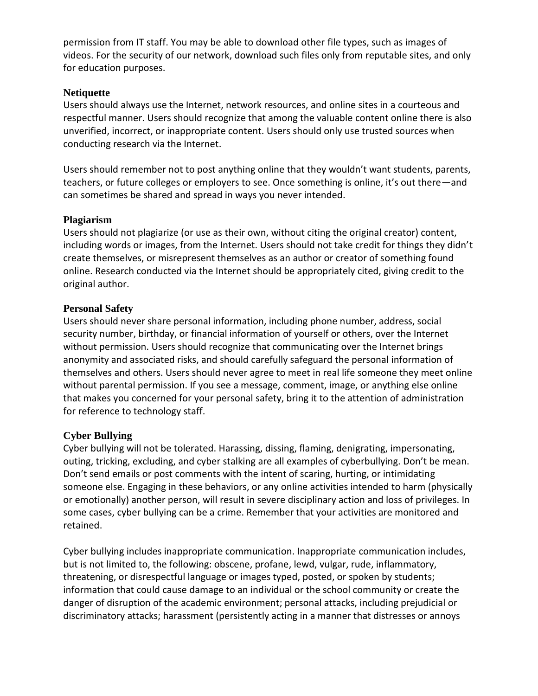permission from IT staff. You may be able to download other file types, such as images of videos. For the security of our network, download such files only from reputable sites, and only for education purposes.

## **Netiquette**

Users should always use the Internet, network resources, and online sites in a courteous and respectful manner. Users should recognize that among the valuable content online there is also unverified, incorrect, or inappropriate content. Users should only use trusted sources when conducting research via the Internet.

Users should remember not to post anything online that they wouldn't want students, parents, teachers, or future colleges or employers to see. Once something is online, it's out there—and can sometimes be shared and spread in ways you never intended.

#### **Plagiarism**

Users should not plagiarize (or use as their own, without citing the original creator) content, including words or images, from the Internet. Users should not take credit for things they didn't create themselves, or misrepresent themselves as an author or creator of something found online. Research conducted via the Internet should be appropriately cited, giving credit to the original author.

## **Personal Safety**

Users should never share personal information, including phone number, address, social security number, birthday, or financial information of yourself or others, over the Internet without permission. Users should recognize that communicating over the Internet brings anonymity and associated risks, and should carefully safeguard the personal information of themselves and others. Users should never agree to meet in real life someone they meet online without parental permission. If you see a message, comment, image, or anything else online that makes you concerned for your personal safety, bring it to the attention of administration for reference to technology staff.

# **Cyber Bullying**

Cyber bullying will not be tolerated. Harassing, dissing, flaming, denigrating, impersonating, outing, tricking, excluding, and cyber stalking are all examples of cyberbullying. Don't be mean. Don't send emails or post comments with the intent of scaring, hurting, or intimidating someone else. Engaging in these behaviors, or any online activities intended to harm (physically or emotionally) another person, will result in severe disciplinary action and loss of privileges. In some cases, cyber bullying can be a crime. Remember that your activities are monitored and retained.

Cyber bullying includes inappropriate communication. Inappropriate communication includes, but is not limited to, the following: obscene, profane, lewd, vulgar, rude, inflammatory, threatening, or disrespectful language or images typed, posted, or spoken by students; information that could cause damage to an individual or the school community or create the danger of disruption of the academic environment; personal attacks, including prejudicial or discriminatory attacks; harassment (persistently acting in a manner that distresses or annoys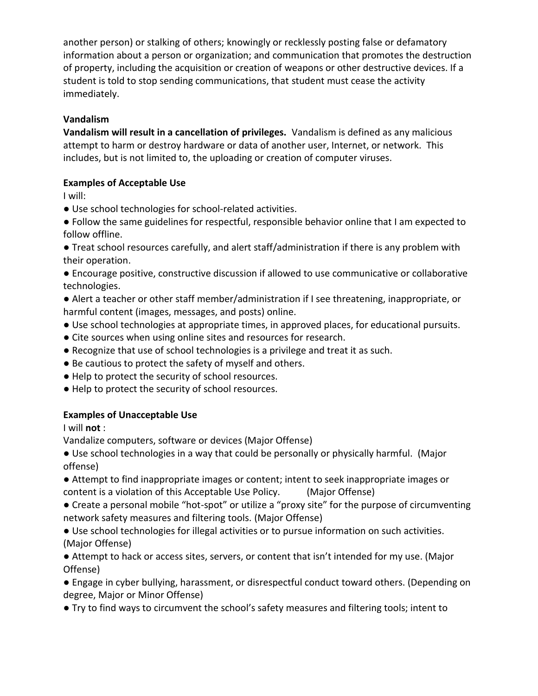another person) or stalking of others; knowingly or recklessly posting false or defamatory information about a person or organization; and communication that promotes the destruction of property, including the acquisition or creation of weapons or other destructive devices. If a student is told to stop sending communications, that student must cease the activity immediately.

# **Vandalism**

**Vandalism will result in a cancellation of privileges.** Vandalism is defined as any malicious attempt to harm or destroy hardware or data of another user, Internet, or network. This includes, but is not limited to, the uploading or creation of computer viruses.

# **Examples of Acceptable Use**

I will:

- Use school technologies for school-related activities.
- Follow the same guidelines for respectful, responsible behavior online that I am expected to follow offline.
- Treat school resources carefully, and alert staff/administration if there is any problem with their operation.
- Encourage positive, constructive discussion if allowed to use communicative or collaborative technologies.
- Alert a teacher or other staff member/administration if I see threatening, inappropriate, or harmful content (images, messages, and posts) online.
- Use school technologies at appropriate times, in approved places, for educational pursuits.
- Cite sources when using online sites and resources for research.
- Recognize that use of school technologies is a privilege and treat it as such.
- Be cautious to protect the safety of myself and others.
- Help to protect the security of school resources.
- Help to protect the security of school resources.

# **Examples of Unacceptable Use**

I will **not** :

Vandalize computers, software or devices (Major Offense)

● Use school technologies in a way that could be personally or physically harmful. (Major offense)

- Attempt to find inappropriate images or content; intent to seek inappropriate images or content is a violation of this Acceptable Use Policy. (Major Offense)
- Create a personal mobile "hot-spot" or utilize a "proxy site" for the purpose of circumventing network safety measures and filtering tools. (Major Offense)
- Use school technologies for illegal activities or to pursue information on such activities. (Major Offense)
- Attempt to hack or access sites, servers, or content that isn't intended for my use. (Major Offense)
- Engage in cyber bullying, harassment, or disrespectful conduct toward others. (Depending on degree, Major or Minor Offense)
- Try to find ways to circumvent the school's safety measures and filtering tools; intent to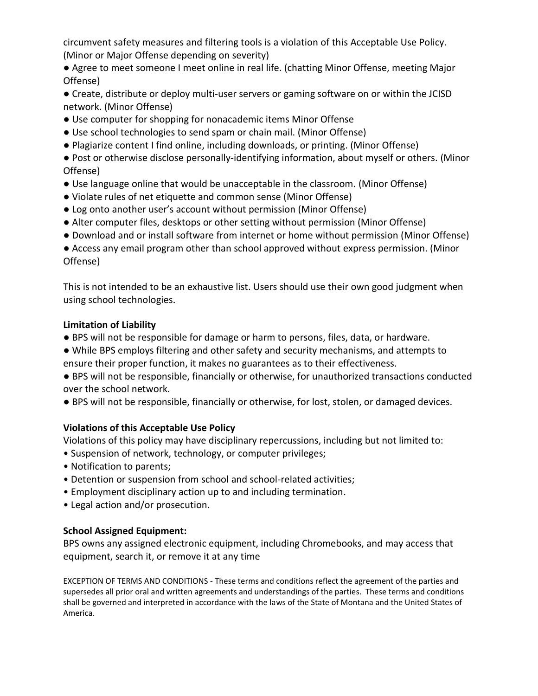circumvent safety measures and filtering tools is a violation of this Acceptable Use Policy. (Minor or Major Offense depending on severity)

● Agree to meet someone I meet online in real life. (chatting Minor Offense, meeting Major Offense)

● Create, distribute or deploy multi-user servers or gaming software on or within the JCISD network. (Minor Offense)

- Use computer for shopping for nonacademic items Minor Offense
- Use school technologies to send spam or chain mail. (Minor Offense)
- Plagiarize content I find online, including downloads, or printing. (Minor Offense)

● Post or otherwise disclose personally-identifying information, about myself or others. (Minor Offense)

- Use language online that would be unacceptable in the classroom. (Minor Offense)
- Violate rules of net etiquette and common sense (Minor Offense)
- Log onto another user's account without permission (Minor Offense)
- Alter computer files, desktops or other setting without permission (Minor Offense)
- Download and or install software from internet or home without permission (Minor Offense)

● Access any email program other than school approved without express permission. (Minor Offense)

This is not intended to be an exhaustive list. Users should use their own good judgment when using school technologies.

# **Limitation of Liability**

- BPS will not be responsible for damage or harm to persons, files, data, or hardware.
- While BPS employs filtering and other safety and security mechanisms, and attempts to ensure their proper function, it makes no guarantees as to their effectiveness.

● BPS will not be responsible, financially or otherwise, for unauthorized transactions conducted over the school network.

● BPS will not be responsible, financially or otherwise, for lost, stolen, or damaged devices.

# **Violations of this Acceptable Use Policy**

Violations of this policy may have disciplinary repercussions, including but not limited to:

- Suspension of network, technology, or computer privileges;
- Notification to parents;
- Detention or suspension from school and school-related activities;
- Employment disciplinary action up to and including termination.
- Legal action and/or prosecution.

# **School Assigned Equipment:**

BPS owns any assigned electronic equipment, including Chromebooks, and may access that equipment, search it, or remove it at any time

EXCEPTION OF TERMS AND CONDITIONS - These terms and conditions reflect the agreement of the parties and supersedes all prior oral and written agreements and understandings of the parties. These terms and conditions shall be governed and interpreted in accordance with the laws of the State of Montana and the United States of America.